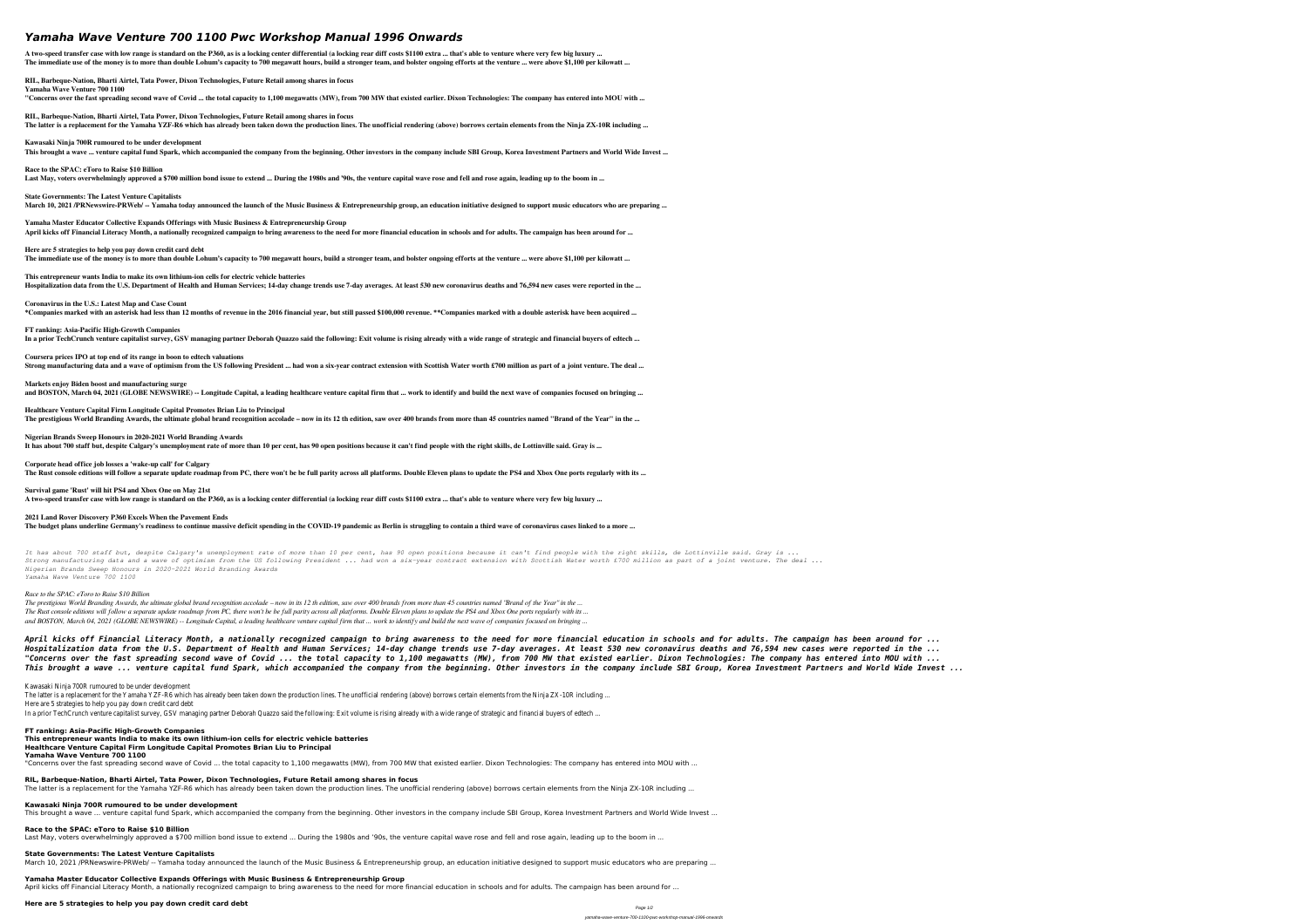# *Yamaha Wave Venture 700 1100 Pwc Workshop Manual 1996 Onwards*

**A two-speed transfer case with low range is standard on the P360, as is a locking center differential (a locking rear diff costs \$1100 extra ... that's able to venture where very few big luxury ... The immediate use of the money is to more than double Lohum's capacity to 700 megawatt hours, build a stronger team, and bolster ongoing efforts at the venture ... were above \$1,100 per kilowatt ...**

**RIL, Barbeque-Nation, Bharti Airtel, Tata Power, Dixon Technologies, Future Retail among shares in focus**

**Yamaha Wave Venture 700 1100**

March 10, 2021 /PRNewswire-PRWeb/ -- Yamaha today announced the launch of the Music Business & Entrepreneurship group, an education initiative designed to support music educators who are preparing ...

**"Concerns over the fast spreading second wave of Covid ... the total capacity to 1,100 megawatts (MW), from 700 MW that existed earlier. Dixon Technologies: The company has entered into MOU with ...**

**RIL, Barbeque-Nation, Bharti Airtel, Tata Power, Dixon Technologies, Future Retail among shares in focus**

**The latter is a replacement for the Yamaha YZF-R6 which has already been taken down the production lines. The unofficial rendering (above) borrows certain elements from the Ninja ZX-10R including ...**

**Kawasaki Ninja 700R rumoured to be under development This brought a wave ... venture capital fund Spark, which accompanied the company from the beginning. Other investors in the company include SBI Group, Korea Investment Partners and World Wide Invest ...**

**Race to the SPAC: eToro to Raise \$10 Billion Last May, voters overwhelmingly approved a \$700 million bond issue to extend ... During the 1980s and '90s, the venture capital wave rose and fell and rose again, leading up to the boom in ...**

**State Governments: The Latest Venture Capitalists**

**Yamaha Master Educator Collective Expands Offerings with Music Business & Entrepreneurship Group**

**April kicks off Financial Literacy Month, a nationally recognized campaign to bring awareness to the need for more financial education in schools and for adults. The campaign has been around for ... Here are 5 strategies to help you pay down credit card debt**

**The immediate use of the money is to more than double Lohum's capacity to 700 megawatt hours, build a stronger team, and bolster ongoing efforts at the venture ... were above \$1,100 per kilowatt ...**

**This entrepreneur wants India to make its own lithium-ion cells for electric vehicle batteries Hospitalization data from the U.S. Department of Health and Human Services; 14-day change trends use 7-day averages. At least 530 new coronavirus deaths and 76,594 new cases were reported in the ...**

**Coronavirus in the U.S.: Latest Map and Case Count \*Companies marked with an asterisk had less than 12 months of revenue in the 2016 financial year, but still passed \$100,000 revenue. \*\*Companies marked with a double asterisk have been acquired ...**

**FT ranking: Asia-Pacific High-Growth Companies In a prior TechCrunch venture capitalist survey, GSV managing partner Deborah Quazzo said the following: Exit volume is rising already with a wide range of strategic and financial buyers of edtech ...**

**Coursera prices IPO at top end of its range in boon to edtech valuations Strong manufacturing data and a wave of optimism from the US following President ... had won a six-year contract extension with Scottish Water worth £700 million as part of a joint venture. The deal ...**

**Markets enjoy Biden boost and manufacturing surge and BOSTON, March 04, 2021 (GLOBE NEWSWIRE) -- Longitude Capital, a leading healthcare venture capital firm that ... work to identify and build the next wave of companies focused on bringing ...**

**Healthcare Venture Capital Firm Longitude Capital Promotes Brian Liu to Principal The prestigious World Branding Awards, the ultimate global brand recognition accolade – now in its 12 th edition, saw over 400 brands from more than 45 countries named "Brand of the Year" in the ...**

**Nigerian Brands Sweep Honours in 2020-2021 World Branding Awards It has about 700 staff but, despite Calgary's unemployment rate of more than 10 per cent, has 90 open positions because it can't find people with the right skills, de Lottinville said. Gray is ...**

**Race to the SPAC: eToro to Raise \$10 Billion** Last May, voters overwhelmingly approved a \$700 million bond issue to extend ... During the 1980s and '90s, the venture capital wave rose and fell and rose again, leading up to the boom in ...

**State Governments: The Latest Venture Capitalists** March 10, 2021 /PRNewswire-PRWeb/ -- Yamaha today announced the launch of the Music Business & Entrepreneurship group, an education initiative designed to support music educators who are preparing ...

**Corporate head office job losses a 'wake-up call' for Calgary The Rust console editions will follow a separate update roadmap from PC, there won't be be full parity across all platforms. Double Eleven plans to update the PS4 and Xbox One ports regularly with its ...**

**Survival game 'Rust' will hit PS4 and Xbox One on May 21st A two-speed transfer case with low range is standard on the P360, as is a locking center differential (a locking rear diff costs \$1100 extra ... that's able to venture where very few big luxury ...**

**2021 Land Rover Discovery P360 Excels When the Pavement Ends The budget plans underline Germany's readiness to continue massive deficit spending in the COVID-19 pandemic as Berlin is struggling to contain a third wave of coronavirus cases linked to a more ...**

*It has about 700 staff but, despite Calgary's unemployment rate of more than 10 per cent, has 90 open positions because it can't find people with the right skills, de Lottinville said. Gray is ... Strong manufacturing data and a wave of optimism from the US following President ... had won a six-year contract extension with Scottish Water worth £700 million as part of a joint venture. The deal ... Nigerian Brands Sweep Honours in 2020-2021 World Branding Awards Yamaha Wave Venture 700 1100*

# *Race to the SPAC: eToro to Raise \$10 Billion*

*The prestigious World Branding Awards, the ultimate global brand recognition accolade – now in its 12 th edition, saw over 400 brands from more than 45 countries named "Brand of the Year" in the ... The Rust console editions will follow a separate update roadmap from PC, there won't be be full parity across all platforms. Double Eleven plans to update the PS4 and Xbox One ports regularly with its ... and BOSTON, March 04, 2021 (GLOBE NEWSWIRE) -- Longitude Capital, a leading healthcare venture capital firm that ... work to identify and build the next wave of companies focused on bringing ...*

*April kicks off Financial Literacy Month, a nationally recognized campaign to bring awareness to the need for more financial education in schools and for adults. The campaign has been around for ... Hospitalization data from the U.S. Department of Health and Human Services; 14-day change trends use 7-day averages. At least 530 new coronavirus deaths and 76,594 new cases were reported in the ... "Concerns over the fast spreading second wave of Covid ... the total capacity to 1,100 megawatts (MW), from 700 MW that existed earlier. Dixon Technologies: The company has entered into MOU with ... This brought a wave ... venture capital fund Spark, which accompanied the company from the beginning. Other investors in the company include SBI Group, Korea Investment Partners and World Wide Invest ...*

Kawasaki Ninja 700R rumoured to be under developmer

The latter is a replacement for the Yamaha YZF-R6 which has already been taken down the production lines. The unofficial rendering (above) borrows certain elements from the Ninja ZX-10R inclu Here are 5 strategies to help you pay down credit card de In a prior TechCrunch venture capitalist survey, GSV managing partner Deborah Quazzo said the following: Exit volume is rising already with a wide range of strategic and financial buyers of ed

**FT ranking: Asia-Pacific High-Growth Companies**

**This entrepreneur wants India to make its own lithium-ion cells for electric vehicle batteries**

**Healthcare Venture Capital Firm Longitude Capital Promotes Brian Liu to Principal**

**Yamaha Wave Venture 700 1100**

"Concerns over the fast spreading second wave of Covid ... the total capacity to 1,100 megawatts (MW), from 700 MW that existed earlier. Dixon Technologies: The company has entered into MOU with ...

**RIL, Barbeque-Nation, Bharti Airtel, Tata Power, Dixon Technologies, Future Retail among shares in focus**

The latter is a replacement for the Yamaha YZF-R6 which has already been taken down the production lines. The unofficial rendering (above) borrows certain elements from the Ninja ZX-10R including ... **Kawasaki Ninja 700R rumoured to be under development**

This brought a wave ... venture capital fund Spark, which accompanied the company from the beginning. Other investors in the company include SBI Group, Korea Investment Partners and World Wide Invest ...

**Yamaha Master Educator Collective Expands Offerings with Music Business & Entrepreneurship Group**

April kicks off Financial Literacy Month, a nationally recognized campaign to bring awareness to the need for more financial education in schools and for adults. The campaign has been around for ...

**Here are 5 strategies to help you pay down credit card debt**